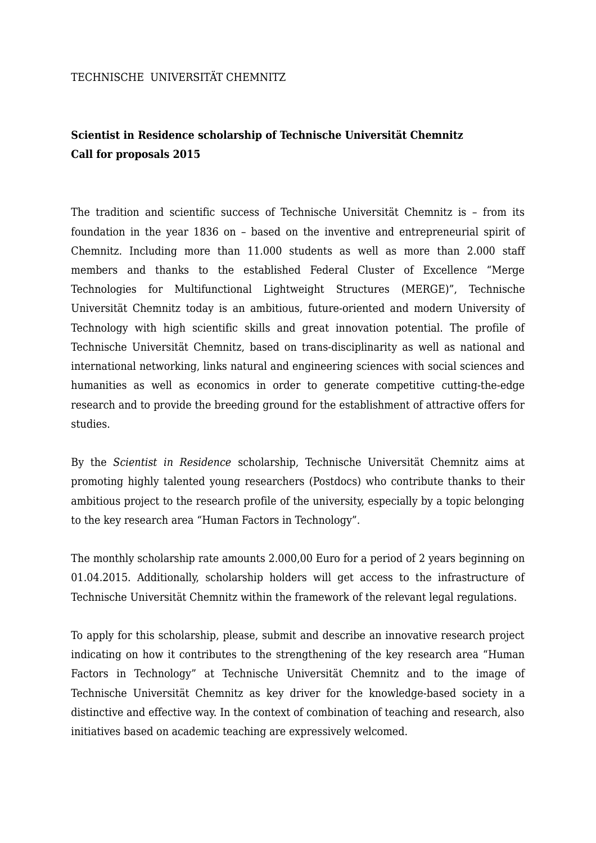## TECHNISCHE UNIVERSITÄT CHEMNITZ

## **Scientist in Residence scholarship of Technische Universität Chemnitz Call for proposals 2015**

The tradition and scientific success of Technische Universität Chemnitz is – from its foundation in the year 1836 on – based on the inventive and entrepreneurial spirit of Chemnitz. Including more than 11.000 students as well as more than 2.000 staff members and thanks to the established Federal Cluster of Excellence "Merge Technologies for Multifunctional Lightweight Structures (MERGE)", Technische Universität Chemnitz today is an ambitious, future-oriented and modern University of Technology with high scientific skills and great innovation potential. The profile of Technische Universität Chemnitz, based on trans-disciplinarity as well as national and international networking, links natural and engineering sciences with social sciences and humanities as well as economics in order to generate competitive cutting-the-edge research and to provide the breeding ground for the establishment of attractive offers for studies.

By the *Scientist in Residence* scholarship, Technische Universität Chemnitz aims at promoting highly talented young researchers (Postdocs) who contribute thanks to their ambitious project to the research profile of the university, especially by a topic belonging to the key research area "Human Factors in Technology".

The monthly scholarship rate amounts 2.000,00 Euro for a period of 2 years beginning on 01.04.2015. Additionally, scholarship holders will get access to the infrastructure of Technische Universität Chemnitz within the framework of the relevant legal regulations.

To apply for this scholarship, please, submit and describe an innovative research project indicating on how it contributes to the strengthening of the key research area "Human Factors in Technology" at Technische Universität Chemnitz and to the image of Technische Universität Chemnitz as key driver for the knowledge-based society in a distinctive and effective way. In the context of combination of teaching and research, also initiatives based on academic teaching are expressively welcomed.